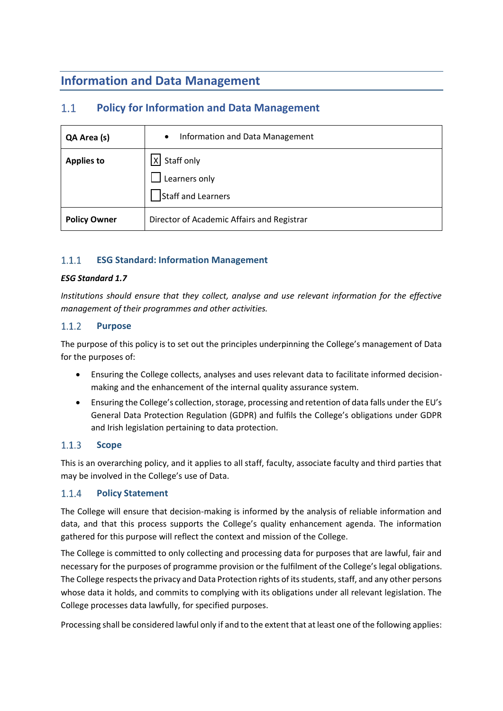# **Information and Data Management**

### $1.1$ **Policy for Information and Data Management**

| QA Area (s)         | Information and Data Management<br>$\bullet$                   |
|---------------------|----------------------------------------------------------------|
| <b>Applies to</b>   | Staff only<br>χI<br>Learners only<br><b>Staff and Learners</b> |
| <b>Policy Owner</b> | Director of Academic Affairs and Registrar                     |

#### $1.1.1$ **ESG Standard: Information Management**

## *ESG Standard 1.7*

*Institutions should ensure that they collect, analyse and use relevant information for the effective management of their programmes and other activities.*

#### $1.1.2$ **Purpose**

The purpose of this policy is to set out the principles underpinning the College's management of Data for the purposes of:

- Ensuring the College collects, analyses and uses relevant data to facilitate informed decisionmaking and the enhancement of the internal quality assurance system.
- Ensuring the College's collection, storage, processing and retention of data falls under the EU's General Data Protection Regulation (GDPR) and fulfils the College's obligations under GDPR and Irish legislation pertaining to data protection.

#### $1.1.3$ **Scope**

This is an overarching policy, and it applies to all staff, faculty, associate faculty and third parties that may be involved in the College's use of Data.

#### $1.1.4$ **Policy Statement**

The College will ensure that decision-making is informed by the analysis of reliable information and data, and that this process supports the College's quality enhancement agenda. The information gathered for this purpose will reflect the context and mission of the College.

The College is committed to only collecting and processing data for purposes that are lawful, fair and necessary for the purposes of programme provision or the fulfilment of the College's legal obligations. The College respects the privacy and Data Protection rights of its students, staff, and any other persons whose data it holds, and commits to complying with its obligations under all relevant legislation. The College processes data lawfully, for specified purposes.

Processing shall be considered lawful only if and to the extent that at least one of the following applies: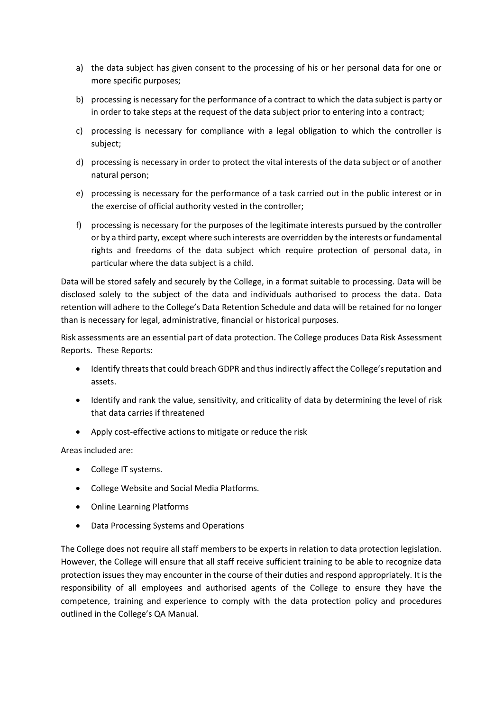- a) the data subject has given consent to the processing of his or her personal data for one or more specific purposes;
- b) processing is necessary for the performance of a contract to which the data subject is party or in order to take steps at the request of the data subject prior to entering into a contract;
- c) processing is necessary for compliance with a legal obligation to which the controller is subject;
- d) processing is necessary in order to protect the vital interests of the data subject or of another natural person;
- e) processing is necessary for the performance of a task carried out in the public interest or in the exercise of official authority vested in the controller;
- f) processing is necessary for the purposes of the legitimate interests pursued by the controller or by a third party, except where such interests are overridden by the interests or fundamental rights and freedoms of the data subject which require protection of personal data, in particular where the data subject is a child.

Data will be stored safely and securely by the College, in a format suitable to processing. Data will be disclosed solely to the subject of the data and individuals authorised to process the data. Data retention will adhere to the College's Data Retention Schedule and data will be retained for no longer than is necessary for legal, administrative, financial or historical purposes.

Risk assessments are an essential part of data protection. The College produces Data Risk Assessment Reports. These Reports:

- Identify threats that could breach GDPR and thus indirectly affect the College's reputation and assets.
- Identify and rank the value, sensitivity, and criticality of data by determining the level of risk that data carries if threatened
- Apply cost-effective actions to mitigate or reduce the risk

Areas included are:

- College IT systems.
- College Website and Social Media Platforms.
- Online Learning Platforms
- Data Processing Systems and Operations

The College does not require all staff members to be experts in relation to data protection legislation. However, the College will ensure that all staff receive sufficient training to be able to recognize data protection issues they may encounter in the course of their duties and respond appropriately. It is the responsibility of all employees and authorised agents of the College to ensure they have the competence, training and experience to comply with the data protection policy and procedures outlined in the College's QA Manual.